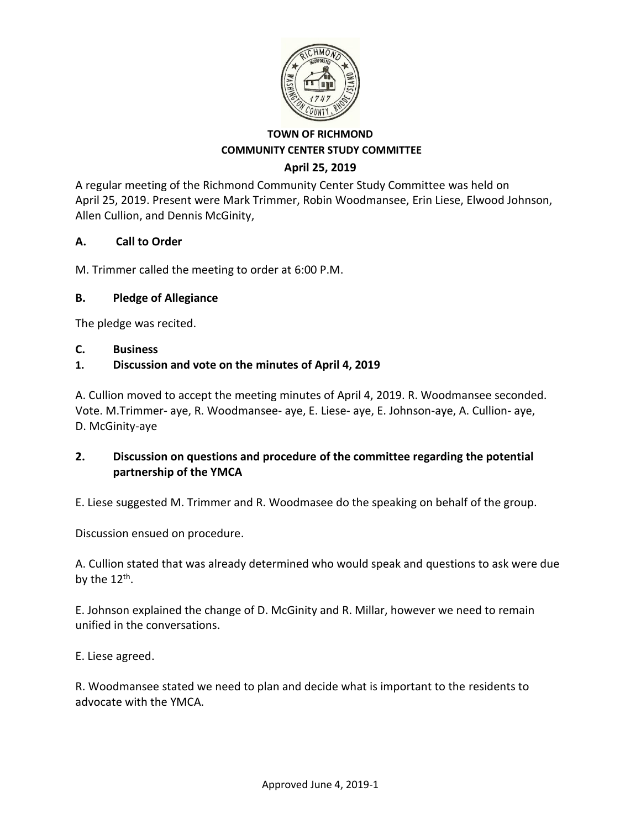

### **April 25, 2019**

A regular meeting of the Richmond Community Center Study Committee was held on April 25, 2019. Present were Mark Trimmer, Robin Woodmansee, Erin Liese, Elwood Johnson, Allen Cullion, and Dennis McGinity,

### **A. Call to Order**

M. Trimmer called the meeting to order at 6:00 P.M.

### **B. Pledge of Allegiance**

The pledge was recited.

#### **C. Business**

### **1. Discussion and vote on the minutes of April 4, 2019**

A. Cullion moved to accept the meeting minutes of April 4, 2019. R. Woodmansee seconded. Vote. M.Trimmer- aye, R. Woodmansee- aye, E. Liese- aye, E. Johnson-aye, A. Cullion- aye, D. McGinity-aye

### **2. Discussion on questions and procedure of the committee regarding the potential partnership of the YMCA**

E. Liese suggested M. Trimmer and R. Woodmasee do the speaking on behalf of the group.

Discussion ensued on procedure.

A. Cullion stated that was already determined who would speak and questions to ask were due by the 12<sup>th</sup>.

E. Johnson explained the change of D. McGinity and R. Millar, however we need to remain unified in the conversations.

E. Liese agreed.

R. Woodmansee stated we need to plan and decide what is important to the residents to advocate with the YMCA.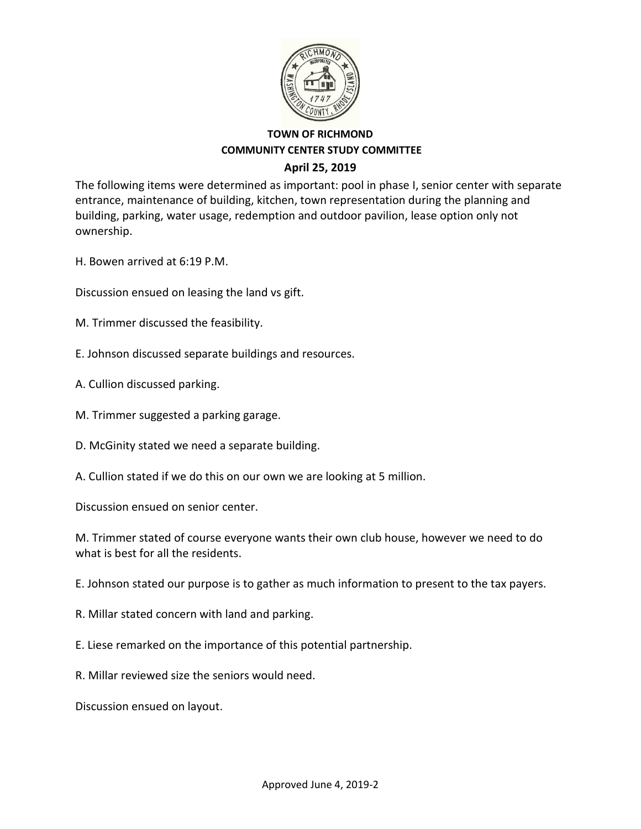

The following items were determined as important: pool in phase I, senior center with separate entrance, maintenance of building, kitchen, town representation during the planning and building, parking, water usage, redemption and outdoor pavilion, lease option only not ownership.

H. Bowen arrived at 6:19 P.M.

Discussion ensued on leasing the land vs gift.

- M. Trimmer discussed the feasibility.
- E. Johnson discussed separate buildings and resources.
- A. Cullion discussed parking.
- M. Trimmer suggested a parking garage.
- D. McGinity stated we need a separate building.
- A. Cullion stated if we do this on our own we are looking at 5 million.

Discussion ensued on senior center.

M. Trimmer stated of course everyone wants their own club house, however we need to do what is best for all the residents.

E. Johnson stated our purpose is to gather as much information to present to the tax payers.

- R. Millar stated concern with land and parking.
- E. Liese remarked on the importance of this potential partnership.
- R. Millar reviewed size the seniors would need.

Discussion ensued on layout.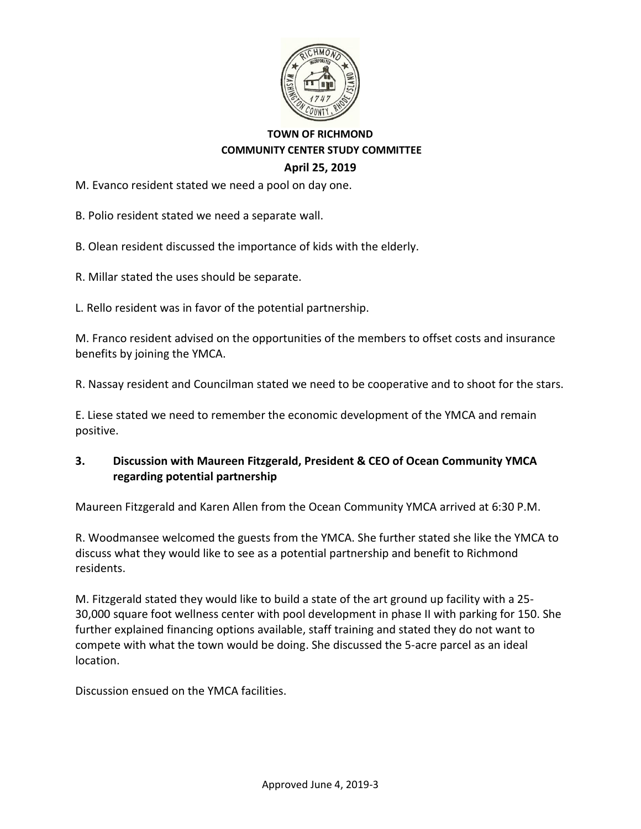

M. Evanco resident stated we need a pool on day one.

B. Polio resident stated we need a separate wall.

B. Olean resident discussed the importance of kids with the elderly.

R. Millar stated the uses should be separate.

L. Rello resident was in favor of the potential partnership.

M. Franco resident advised on the opportunities of the members to offset costs and insurance benefits by joining the YMCA.

R. Nassay resident and Councilman stated we need to be cooperative and to shoot for the stars.

E. Liese stated we need to remember the economic development of the YMCA and remain positive.

### **3. Discussion with Maureen Fitzgerald, President & CEO of Ocean Community YMCA regarding potential partnership**

Maureen Fitzgerald and Karen Allen from the Ocean Community YMCA arrived at 6:30 P.M.

R. Woodmansee welcomed the guests from the YMCA. She further stated she like the YMCA to discuss what they would like to see as a potential partnership and benefit to Richmond residents.

M. Fitzgerald stated they would like to build a state of the art ground up facility with a 25- 30,000 square foot wellness center with pool development in phase II with parking for 150. She further explained financing options available, staff training and stated they do not want to compete with what the town would be doing. She discussed the 5-acre parcel as an ideal location.

Discussion ensued on the YMCA facilities.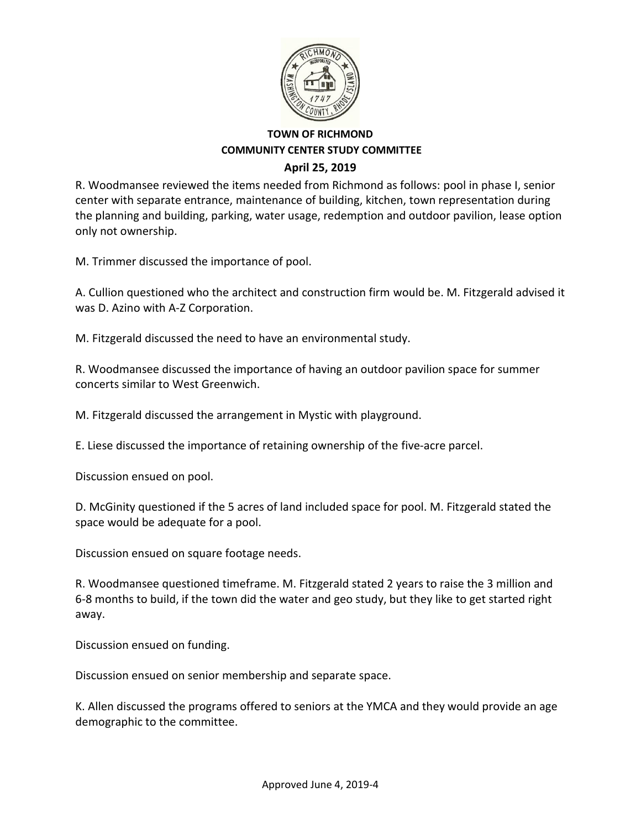

R. Woodmansee reviewed the items needed from Richmond as follows: pool in phase I, senior center with separate entrance, maintenance of building, kitchen, town representation during the planning and building, parking, water usage, redemption and outdoor pavilion, lease option only not ownership.

M. Trimmer discussed the importance of pool.

A. Cullion questioned who the architect and construction firm would be. M. Fitzgerald advised it was D. Azino with A-Z Corporation.

M. Fitzgerald discussed the need to have an environmental study.

R. Woodmansee discussed the importance of having an outdoor pavilion space for summer concerts similar to West Greenwich.

M. Fitzgerald discussed the arrangement in Mystic with playground.

E. Liese discussed the importance of retaining ownership of the five-acre parcel.

Discussion ensued on pool.

D. McGinity questioned if the 5 acres of land included space for pool. M. Fitzgerald stated the space would be adequate for a pool.

Discussion ensued on square footage needs.

R. Woodmansee questioned timeframe. M. Fitzgerald stated 2 years to raise the 3 million and 6-8 months to build, if the town did the water and geo study, but they like to get started right away.

Discussion ensued on funding.

Discussion ensued on senior membership and separate space.

K. Allen discussed the programs offered to seniors at the YMCA and they would provide an age demographic to the committee.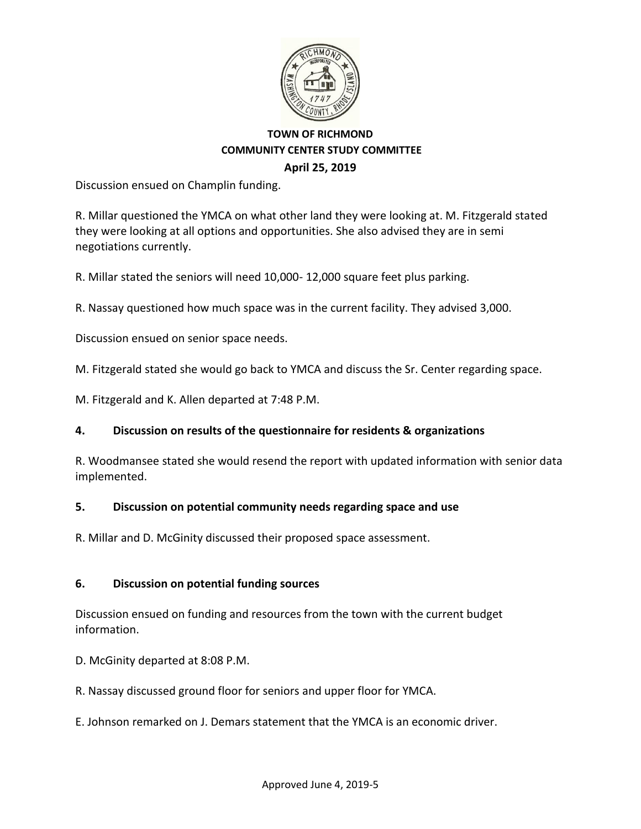

Discussion ensued on Champlin funding.

R. Millar questioned the YMCA on what other land they were looking at. M. Fitzgerald stated they were looking at all options and opportunities. She also advised they are in semi negotiations currently.

R. Millar stated the seniors will need 10,000- 12,000 square feet plus parking.

R. Nassay questioned how much space was in the current facility. They advised 3,000.

Discussion ensued on senior space needs.

M. Fitzgerald stated she would go back to YMCA and discuss the Sr. Center regarding space.

M. Fitzgerald and K. Allen departed at 7:48 P.M.

### **4. Discussion on results of the questionnaire for residents & organizations**

R. Woodmansee stated she would resend the report with updated information with senior data implemented.

### **5. Discussion on potential community needs regarding space and use**

R. Millar and D. McGinity discussed their proposed space assessment.

### **6. Discussion on potential funding sources**

Discussion ensued on funding and resources from the town with the current budget information.

D. McGinity departed at 8:08 P.M.

R. Nassay discussed ground floor for seniors and upper floor for YMCA.

E. Johnson remarked on J. Demars statement that the YMCA is an economic driver.